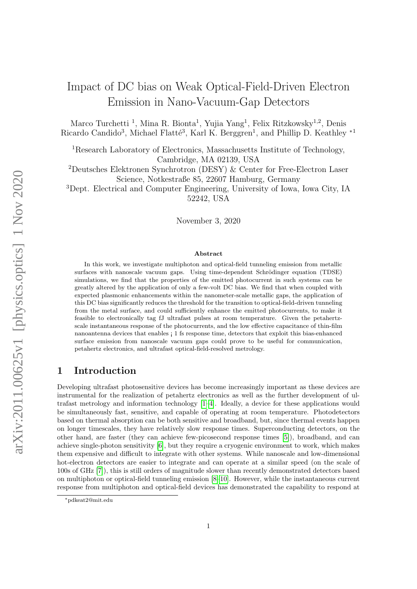# Impact of DC bias on Weak Optical-Field-Driven Electron Emission in Nano-Vacuum-Gap Detectors

Marco Turchetti<sup>1</sup>, Mina R. Bionta<sup>1</sup>, Yujia Yang<sup>1</sup>, Felix Ritzkowsky<sup>1,2</sup>, Denis Ricardo Candido<sup>3</sup>, Michael Flatté<sup>3</sup>, Karl K. Berggren<sup>1</sup>, and Phillip D. Keathley<sup>\*1</sup>

<sup>1</sup>Research Laboratory of Electronics, Massachusetts Institute of Technology, Cambridge, MA 02139, USA

<sup>2</sup>Deutsches Elektronen Synchrotron (DESY) & Center for Free-Electron Laser Science, Notkestraße 85, 22607 Hamburg, Germany

<sup>3</sup>Dept. Electrical and Computer Engineering, University of Iowa, Iowa City, IA 52242, USA

November 3, 2020

#### Abstract

In this work, we investigate multiphoton and optical-field tunneling emission from metallic surfaces with nanoscale vacuum gaps. Using time-dependent Schrödinger equation (TDSE) simulations, we find that the properties of the emitted photocurrent in such systems can be greatly altered by the application of only a few-volt DC bias. We find that when coupled with expected plasmonic enhancements within the nanometer-scale metallic gaps, the application of this DC bias significantly reduces the threshold for the transition to optical-field-driven tunneling from the metal surface, and could sufficiently enhance the emitted photocurrents, to make it feasible to electronically tag fJ ultrafast pulses at room temperature. Given the petahertzscale instantaneous response of the photocurrents, and the low effective capacitance of thin-film nanoantenna devices that enables ¡ 1 fs response time, detectors that exploit this bias-enhanced surface emission from nanoscale vacuum gaps could prove to be useful for communication, petahertz electronics, and ultrafast optical-field-resolved metrology.

# 1 Introduction

Developing ultrafast photosensitive devices has become increasingly important as these devices are instrumental for the realization of petahertz electronics as well as the further development of ultrafast metrology and information technology [\[1–](#page-8-0)[4\]](#page-8-1). Ideally, a device for these applications would be simultaneously fast, sensitive, and capable of operating at room temperature. Photodetectors based on thermal absorption can be both sensitive and broadband, but, since thermal events happen on longer timescales, they have relatively slow response times. Superconducting detectors, on the other hand, are faster (they can achieve few-picosecond response times [\[5\]](#page-8-2)), broadband, and can achieve single-photon sensitivity [\[6\]](#page-8-3), but they require a cryogenic environment to work, which makes them expensive and difficult to integrate with other systems. While nanoscale and low-dimensional hot-electron detectors are easier to integrate and can operate at a similar speed (on the scale of 100s of GHz [\[7\]](#page-8-4)), this is still orders of magnitude slower than recently demonstrated detectors based on multiphoton or optical-field tunneling emission [\[8](#page-9-0)[–10\]](#page-9-1). However, while the instantaneous current response from multiphoton and optical-field devices has demonstrated the capability to respond at

<sup>∗</sup>pdkeat2@mit.edu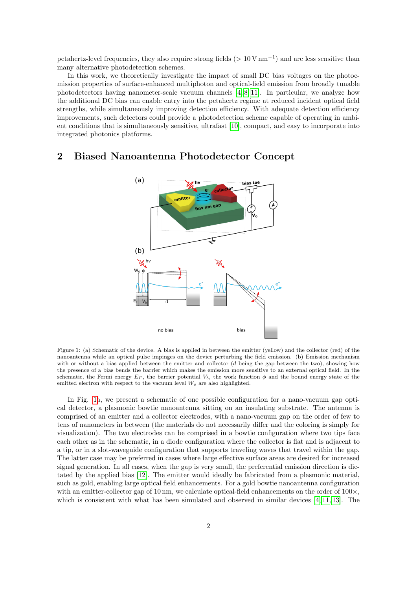petahertz-level frequencies, they also require strong fields ( $> 10 \text{ V nm}^{-1}$ ) and are less sensitive than many alternative photodetection schemes.

In this work, we theoretically investigate the impact of small DC bias voltages on the photoemission properties of surface-enhanced multiphoton and optical-field emission from broadly tunable photodetectors having nanometer-scale vacuum channels [\[4,](#page-8-1) [8,](#page-9-0) [11\]](#page-9-2). In particular, we analyze how the additional DC bias can enable entry into the petahertz regime at reduced incident optical field strengths, while simultaneously improving detection efficiency. With adequate detection efficiency improvements, such detectors could provide a photodetection scheme capable of operating in ambient conditions that is simultaneously sensitive, ultrafast [\[10\]](#page-9-1), compact, and easy to incorporate into integrated photonics platforms.

### <span id="page-1-0"></span>2 Biased Nanoantenna Photodetector Concept



Figure 1: (a) Schematic of the device. A bias is applied in between the emitter (yellow) and the collector (red) of the nanoantenna while an optical pulse impinges on the device perturbing the field emission. (b) Emission mechanism with or without a bias applied between the emitter and collector (d being the gap between the two), showing how the presence of a bias bends the barrier which makes the emission more sensitive to an external optical field. In the schematic, the Fermi energy  $E_F$ , the barrier potential  $V_b$ , the work function  $\phi$  and the bound energy state of the emitted electron with respect to the vacuum level  $W_o$  are also highlighted.

In Fig. [1a](#page-1-0), we present a schematic of one possible configuration for a nano-vacuum gap optical detector, a plasmonic bowtie nanoantenna sitting on an insulating substrate. The antenna is comprised of an emitter and a collector electrodes, with a nano-vacuum gap on the order of few to tens of nanometers in between (the materials do not necessarily differ and the coloring is simply for visualization). The two electrodes can be comprised in a bowtie configuration where two tips face each other as in the schematic, in a diode configuration where the collector is flat and is adjacent to a tip, or in a slot-waveguide configuration that supports traveling waves that travel within the gap. The latter case may be preferred in cases where large effective surface areas are desired for increased signal generation. In all cases, when the gap is very small, the preferential emission direction is dictated by the applied bias [\[12\]](#page-9-3). The emitter would ideally be fabricated from a plasmonic material, such as gold, enabling large optical field enhancements. For a gold bowtie nanoantenna configuration with an emitter-collector gap of 10 nm, we calculate optical-field enhancements on the order of  $100 \times$ , which is consistent with what has been simulated and observed in similar devices  $[4, 11, 13]$  $[4, 11, 13]$  $[4, 11, 13]$ . The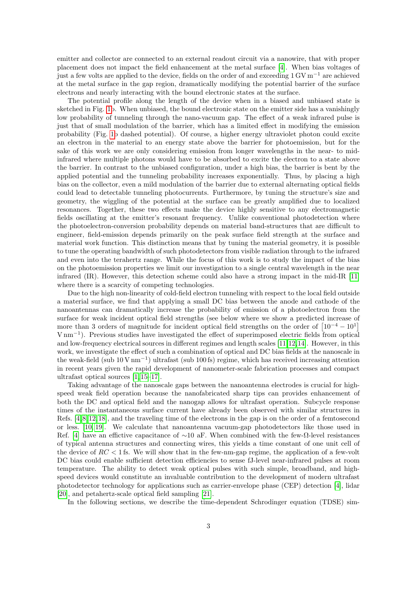emitter and collector are connected to an external readout circuit via a nanowire, that with proper placement does not impact the field enhancement at the metal surface [\[4\]](#page-8-1). When bias voltages of just a few volts are applied to the device, fields on the order of and exceeding 1 GV m−<sup>1</sup> are achieved at the metal surface in the gap region, dramatically modifying the potential barrier of the surface electrons and nearly interacting with the bound electronic states at the surface.

The potential profile along the length of the device when in a biased and unbiased state is sketched in Fig. [1b](#page-1-0). When unbiased, the bound electronic state on the emitter side has a vanishingly low probability of tunneling through the nano-vacuum gap. The effect of a weak infrared pulse is just that of small modulation of the barrier, which has a limited effect in modifying the emission probability (Fig. [1b](#page-1-0) dashed potential). Of course, a higher energy ultraviolet photon could excite an electron in the material to an energy state above the barrier for photoemission, but for the sake of this work we are only considering emission from longer wavelengths in the near- to midinfrared where multiple photons would have to be absorbed to excite the electron to a state above the barrier. In contrast to the unbiased configuration, under a high bias, the barrier is bent by the applied potential and the tunneling probability increases exponentially. Thus, by placing a high bias on the collector, even a mild modulation of the barrier due to external alternating optical fields could lead to detectable tunneling photocurrents. Furthermore, by tuning the structure's size and geometry, the wiggling of the potential at the surface can be greatly amplified due to localized resonances. Together, these two effects make the device highly sensitive to any electromagnetic fields oscillating at the emitter's resonant frequency. Unlike conventional photodetection where the photoelectron-conversion probability depends on material band-structures that are difficult to engineer, field-emission depends primarily on the peak surface field strength at the surface and material work function. This distinction means that by tuning the material geometry, it is possible to tune the operating bandwidth of such photodetectors from visible radiation through to the infrared and even into the terahertz range. While the focus of this work is to study the impact of the bias on the photoemission properties we limit our investigation to a single central wavelength in the near infrared (IR). However, this detection scheme could also have a strong impact in the mid-IR [\[11\]](#page-9-2) where there is a scarcity of competing technologies.

Due to the high non-linearity of cold-field electron tunneling with respect to the local field outside a material surface, we find that applying a small DC bias between the anode and cathode of the nanoantennas can dramatically increase the probability of emission of a photoelectron from the surface for weak incident optical field strengths (see below where we show a predicted increase of more than 3 orders of magnitude for incident optical field strengths on the order of  $\left[10^{-4} - 10^{1}\right]$ V nm<sup>−</sup><sup>1</sup> ). Previous studies have investigated the effect of superimposed electric fields from optical and low-frequency electrical sources in different regimes and length scales [\[11,](#page-9-2)[12,](#page-9-3)[14\]](#page-9-5). However, in this work, we investigate the effect of such a combination of optical and DC bias fields at the nanoscale in the weak-field (sub 10 V nm<sup>−</sup><sup>1</sup> ) ultrafast (sub 100 fs) regime, which has received increasing attention in recent years given the rapid development of nanometer-scale fabrication processes and compact ultrafast optical sources [\[1,](#page-8-0) [15–](#page-9-6)[17\]](#page-9-7).

Taking advantage of the nanoscale gaps between the nanoantenna electrodes is crucial for highspeed weak field operation because the nanofabricated sharp tips can provides enhancement of both the DC and optical field and the nanogap allows for ultrafast operation. Subcycle response times of the instantaneous surface current have already been observed with similar structures in Refs. [\[4,](#page-8-1) [8,](#page-9-0) [12,](#page-9-3) [18\]](#page-9-8), and the traveling time of the electrons in the gap is on the order of a femtosecond or less. [\[10,](#page-9-1) [19\]](#page-9-9). We calculate that nanoantenna vacuum-gap photodetectors like those used in Ref. [\[4\]](#page-8-1) have an effictive capacitance of  $\sim 10$  aF. When combined with the few- $\Omega$ -level resistances of typical antenna structures and connecting wires, this yields a time constant of one unit cell of the device of  $RC < 1$  fs. We will show that in the few-nm-gap regime, the application of a few-volt DC bias could enable sufficient detection efficiencies to sense fJ-level near-infrared pulses at room temperature. The ability to detect weak optical pulses with such simple, broadband, and highspeed devices would constitute an invaluable contribution to the development of modern ultrafast photodetector technology for applications such as carrier-envelope phase (CEP) detection [\[4\]](#page-8-1), lidar [\[20\]](#page-9-10), and petahertz-scale optical field sampling [\[21\]](#page-9-11).

In the following sections, we describe the time-dependent Schrodinger equation (TDSE) sim-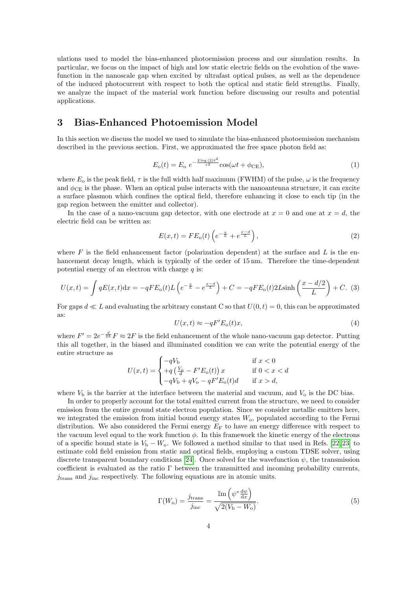ulations used to model the bias-enhanced photoemission process and our simulation results. In particular, we focus on the impact of high and low static electric fields on the evolution of the wavefunction in the nanoscale gap when excited by ultrafast optical pulses, as well as the dependence of the induced photocurrent with respect to both the optical and static field strengths. Finally, we analyze the impact of the material work function before discussing our results and potential applications.

# 3 Bias-Enhanced Photoemission Model

In this section we discuss the model we used to simulate the bias-enhanced photoemission mechanism described in the previous section. First, we approximated the free space photon field as:

$$
E_{\rm o}(t) = E_{\rm o} \ e^{-\frac{2\log(2)t^2}{\tau^2}} \cos(\omega t + \phi_{\rm CE}),\tag{1}
$$

where  $E_0$  is the peak field,  $\tau$  is the full width half maximum (FWHM) of the pulse,  $\omega$  is the frequency and  $\phi_{\text{CE}}$  is the phase. When an optical pulse interacts with the nanoantenna structure, it can excite a surface plasmon which confines the optical field, therefore enhancing it close to each tip (in the gap region between the emitter and collector).

In the case of a nano-vacuum gap detector, with one electrode at  $x = 0$  and one at  $x = d$ , the electric field can be written as:

$$
E(x,t) = FE_o(t) \left( e^{-\frac{x}{L}} + e^{\frac{x-d}{L}} \right),\tag{2}
$$

where  $F$  is the field enhancement factor (polarization dependent) at the surface and  $L$  is the enhancement decay length, which is typically of the order of 15 nm. Therefore the time-dependent potential energy of an electron with charge  $q$  is:

$$
U(x,t) = \int qE(x,t)dx = -qFE_0(t)L\left(e^{-\frac{x}{L}} - e^{\frac{x-d}{L}}\right) + C = -qFE_0(t)2L\sinh\left(\frac{x-d/2}{L}\right) + C.
$$
 (3)

For gaps  $d \ll L$  and evaluating the arbitrary constant C so that  $U(0, t) = 0$ , this can be approximated as:

$$
U(x,t) \approx -qF'E_o(t)x,\tag{4}
$$

where  $F' = 2e^{-\frac{d}{2L}}F \approx 2F$  is the field enhancement of the whole nano-vacuum gap detector. Putting this all together, in the biased and illuminated condition we can write the potential energy of the entire structure as

$$
U(x,t) = \begin{cases} -qV_{\rm b} & \text{if } x < 0\\ +q\left(\frac{V_{\rm o}}{d} - F'E_{\rm o}(t)\right)x & \text{if } 0 < x < d\\ -qV_{\rm b} + qV_{\rm o} - qF'E_{\rm o}(t)d & \text{if } x > d, \end{cases}
$$

where  $V<sub>b</sub>$  is the barrier at the interface between the material and vacuum, and  $V<sub>o</sub>$  is the DC bias.

In order to properly account for the total emitted current from the structure, we need to consider emission from the entire ground state electron population. Since we consider metallic emitters here, we integrated the emission from initial bound energy states  $W_0$ , populated according to the Fermi distribution. We also considered the Fermi energy  $E_F$  to have an energy difference with respect to the vacuum level equal to the work function  $\phi$ . In this framework the kinetic energy of the electrons of a specific bound state is  $V_b - W_o$ . We followed a method similar to that used in Refs. [\[22,](#page-9-12) [23\]](#page-9-13) to estimate cold field emission from static and optical fields, employing a custom TDSE solver, using discrete transparent boundary conditions [\[24\]](#page-10-0). Once solved for the wavefunction  $\psi$ , the transmission coefficient is evaluated as the ratio  $\Gamma$  between the transmitted and incoming probability currents,  $j_{\text{trans}}$  and  $j_{\text{inc}}$  respectively. The following equations are in atomic units.

$$
\Gamma(W_{\rm o}) = \frac{j_{\rm trans}}{j_{\rm inc}} = \frac{\mathbb{I}_{\rm m}\left(\psi^* \frac{\mathrm{d}\psi}{\mathrm{d}x}\right)}{\sqrt{2(V_{\rm b} - W_{\rm o})}}.\tag{5}
$$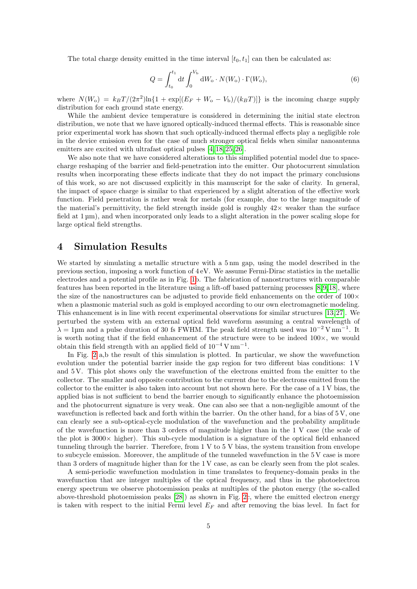The total charge density emitted in the time interval  $[t_0, t_1]$  can then be calculated as:

$$
Q = \int_{t_0}^{t_1} dt \int_0^{V_\mathrm{b}} dW_\mathrm{o} \cdot N(W_\mathrm{o}) \cdot \Gamma(W_\mathrm{o}), \tag{6}
$$

where  $N(W_0) = k_B T/(2\pi^2) \ln\{1 + \exp[(E_F + W_0 - V_b)/(k_B T)]\}$  is the incoming charge supply distribution for each ground state energy.

While the ambient device temperature is considered in determining the initial state electron distribution, we note that we have ignored optically-induced thermal effects. This is reasonable since prior experimental work has shown that such optically-induced thermal effects play a negligible role in the device emission even for the case of much stronger optical fields when similar nanoantenna emitters are excited with ultrafast optical pulses  $[4, 18, 25, 26]$  $[4, 18, 25, 26]$  $[4, 18, 25, 26]$  $[4, 18, 25, 26]$ .

We also note that we have considered alterations to this simplified potential model due to spacecharge reshaping of the barrier and field-penetration into the emitter. Our photocurrent simulation results when incorporating these effects indicate that they do not impact the primary conclusions of this work, so are not discussed explicitly in this manuscript for the sake of clarity. In general, the impact of space charge is similar to that experienced by a slight alteration of the effective work function. Field penetration is rather weak for metals (for example, due to the large magnitude of the material's permittivity, the field strength inside gold is roughly  $42\times$  weaker than the surface field at  $1 \mu m$ ), and when incorporated only leads to a slight alteration in the power scaling slope for large optical field strengths.

## 4 Simulation Results

We started by simulating a metallic structure with a 5 nm gap, using the model described in the previous section, imposing a work function of 4 eV. We assume Fermi-Dirac statistics in the metallic electrodes and a potential profile as in Fig. [1b](#page-1-0). The fabrication of nanostructures with comparable features has been reported in the literature using a lift-off based patterning processes [\[8,](#page-9-0)[9,](#page-9-14)[18\]](#page-9-8), where the size of the nanostructures can be adjusted to provide field enhancements on the order of  $100 \times$ when a plasmonic material such as gold is employed according to our own electromagnetic modeling. This enhancement is in line with recent experimental observations for similar structures [\[13,](#page-9-4)[27\]](#page-10-3). We perturbed the system with an external optical field waveform assuming a central wavelength of  $\lambda = 1$ <sup>um</sup> and a pulse duration of 30 fs FWHM. The peak field strength used was  $10^{-2}$  V nm<sup>-1</sup>. It is worth noting that if the field enhancement of the structure were to be indeed  $100 \times$ , we would obtain this field strength with an applied field of  $10^{-4}$  V nm<sup>-1</sup>.

In Fig. [2](#page-5-0) a,b the result of this simulation is plotted. In particular, we show the wavefunction evolution under the potential barrier inside the gap region for two different bias conditions: 1 V and 5 V. This plot shows only the wavefunction of the electrons emitted from the emitter to the collector. The smaller and opposite contribution to the current due to the electrons emitted from the collector to the emitter is also taken into account but not shown here. For the case of a 1 V bias, the applied bias is not sufficient to bend the barrier enough to significantly enhance the photoemission and the photocurrent signature is very weak. One can also see that a non-negligible amount of the wavefunction is reflected back and forth within the barrier. On the other hand, for a bias of 5 V, one can clearly see a sub-optical-cycle modulation of the wavefunction and the probability amplitude of the wavefunction is more than 3 orders of magnitude higher than in the 1 V case (the scale of the plot is  $3000\times$  higher). This sub-cycle modulation is a signature of the optical field enhanced tunneling through the barrier. Therefore, from 1 V to 5 V bias, the system transition from envelope to subcycle emission. Moreover, the amplitude of the tunneled wavefunction in the 5 V case is more than 3 orders of magnitude higher than for the 1 V case, as can be clearly seen from the plot scales.

A semi-periodic wavefunction modulation in time translates to frequency-domain peaks in the wavefunction that are integer multiples of the optical frequency, and thus in the photoelectron energy spectrum we observe photoemission peaks at multiples of the photon energy (the so-called above-threshold photoemission peaks [\[28\]](#page-10-4)) as shown in Fig. [2c](#page-5-0), where the emitted electron energy is taken with respect to the initial Fermi level  $E_F$  and after removing the bias level. In fact for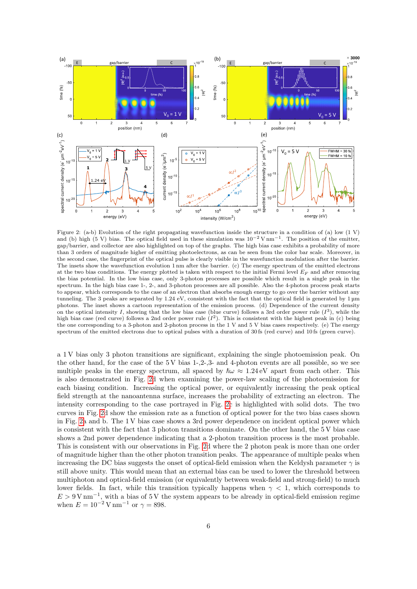<span id="page-5-0"></span>

Figure 2: (a-b) Evolution of the right propagating wavefunction inside the structure in a condition of (a) low (1 V) and (b) high (5 V) bias. The optical field used in these simulation was  $10^{-2}$  V nm<sup>-1</sup>. The position of the emitter, gap/barrier, and collector are also highlighted on top of the graphs. The high bias case exhibits a probability of more than 3 orders of magnitude higher of emitting photoelectrons, as can be seen from the color bar scale. Moreover, in the second case, the fingerprint of the optical pulse is clearly visible in the wavefunction modulation after the barrier. The insets show the wavefunction evolution 1 nm after the barrier. (c) The energy spectrum of the emitted electrons at the two bias conditions. The energy plotted is taken with respect to the initial Fermi level  $E_F$  and after removing the bias potential. In the low bias case, only 3-photon processes are possible which result in a single peak in the spectrum. In the high bias case 1-, 2-, and 3-photon processes are all possible. Also the 4-photon process peak starts to appear, which corresponds to the case of an electron that absorbs enough energy to go over the barrier without any tunneling. The 3 peaks are separated by 1.24 eV, consistent with the fact that the optical field is generated by 1 µm photons. The inset shows a cartoon representation of the emission process. (d) Dependence of the current density on the optical intensity I, showing that the low bias case (blue curve) follows a 3rd order power rule  $(I^3)$ , while the high bias case (red curve) follows a 2nd order power rule  $(I^2)$ . This is consistent with the highest peak in (c) being the one corresponding to a 3-photon and 2-photon process in the 1 V and 5 V bias cases respectively. (e) The energy spectrum of the emitted electrons due to optical pulses with a duration of 30 fs (red curve) and 10 fs (green curve).

a 1 V bias only 3 photon transitions are significant, explaining the single photoemission peak. On the other hand, for the case of the  $5V$  bias  $1-2-3-$  and 4-photon events are all possible, so we see multiple peaks in the energy spectrum, all spaced by  $\hbar\omega \approx 1.24 \text{ eV}$  apart from each other. This is also demonstrated in Fig. [2d](#page-5-0) when examining the power-law scaling of the photoemission for each biasing condition. Increasing the optical power, or equivalently increasing the peak optical field strength at the nanoantenna surface, increases the probability of extracting an electron. The intensity corresponding to the case portrayed in Fig. [2c](#page-5-0) is highlighted with solid dots. The two curves in Fig. [2d](#page-5-0) show the emission rate as a function of optical power for the two bias cases shown in Fig. [2a](#page-5-0) and b. The 1 V bias case shows a 3rd power dependence on incident optical power which is consistent with the fact that 3 photon transitions dominate. On the other hand, the 5 V bias case shows a 2nd power dependence indicating that a 2-photon transition process is the most probable. This is consistent with our observations in Fig. [2d](#page-5-0) where the 2 photon peak is more than one order of magnitude higher than the other photon transition peaks. The appearance of multiple peaks when increasing the DC bias suggests the onset of optical-field emission when the Keldysh parameter  $\gamma$  is still above unity. This would mean that an external bias can be used to lower the threshold between multiphoton and optical-field emission (or equivalently between weak-field and strong-field) to much lower fields. In fact, while this transition typically happens when  $\gamma$  < 1, which corresponds to  $E > 9$  V nm<sup>-1</sup>, with a bias of 5 V the system appears to be already in optical-field emission regime when  $E = 10^{-2}$  V nm<sup>-1</sup> or  $\gamma = 898$ .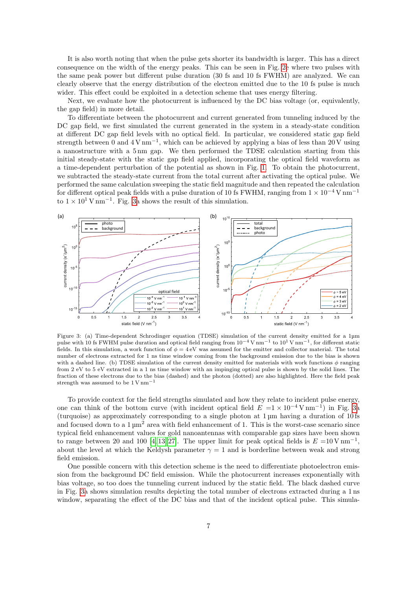It is also worth noting that when the pulse gets shorter its bandwidth is larger. This has a direct consequence on the width of the energy peaks. This can be seen in Fig. [2e](#page-5-0) where two pulses with the same peak power but different pulse duration (30 fs and 10 fs FWHM) are analyzed. We can clearly observe that the energy distribution of the electron emitted due to the 10 fs pulse is much wider. This effect could be exploited in a detection scheme that uses energy filtering.

Next, we evaluate how the photocurrent is influenced by the DC bias voltage (or, equivalently, the gap field) in more detail.

To differentiate between the photocurrent and current generated from tunneling induced by the DC gap field, we first simulated the current generated in the system in a steady-state condition at different DC gap field levels with no optical field. In particular, we considered static gap field strength between 0 and 4 V nm<sup>-1</sup>, which can be achieved by applying a bias of less than 20 V using a nanostructure with a 5 nm gap. We then performed the TDSE calculation starting from this initial steady-state with the static gap field applied, incorporating the optical field waveform as a time-dependent perturbation of the potential as shown in Fig. [1.](#page-1-0) To obtain the photocurrent, we subtracted the steady-state current from the total current after activating the optical pulse. We performed the same calculation sweeping the static field magnitude and then repeated the calculation for different optical peak fields with a pulse duration of 10 fs FWHM, ranging from  $1 \times 10^{-4}$  V nm<sup>-1</sup> to  $1 \times 10^{1}$  V nm<sup>-1</sup>. Fig. [3a](#page-6-0) shows the result of this simulation.

<span id="page-6-0"></span>

Figure 3: (a) Time-dependent Schrodinger equation (TDSE) simulation of the current density emitted for a 1µm pulse with 10 fs FWHM pulse duration and optical field ranging from  $10^{-4}$  V nm<sup>-1</sup> to  $10^{1}$  V nm<sup>-1</sup>, for different static fields. In this simulation, a work function of  $\phi = 4 \text{ eV}$  was assumed for the emitter and collector material. The total number of electrons extracted for 1 ns time window coming from the background emission due to the bias is shown with a dashed line. (b) TDSE simulation of the current density emitted for materials with work functions  $\phi$  ranging from 2 eV to 5 eV extracted in a 1 ns time window with an impinging optical pulse is shown by the solid lines. The fraction of these electrons due to the bias (dashed) and the photon (dotted) are also highlighted. Here the field peak strength was assumed to be  $1 \text{ V nm}^{-1}$ 

To provide context for the field strengths simulated and how they relate to incident pulse energy, one can think of the bottom curve (with incident optical field  $E = 1 \times 10^{-4} \text{ V nm}^{-1}$ ) in Fig. [3a](#page-6-0) (turquoise) as approximately corresponding to a single photon at 1 µm having a duration of 10 fs and focused down to a  $1 \mu m^2$  area with field enhancement of 1. This is the worst-case scenario since typical field enhancement values for gold nanoantennas with comparable gap sizes have been shown to range between 20 and 100 [\[4,](#page-8-1) [13,](#page-9-4) [27\]](#page-10-3). The upper limit for peak optical fields is  $E = 10 \,\mathrm{V \, nm}^{-1}$ , about the level at which the Keldysh parameter  $\gamma = 1$  and is borderline between weak and strong field emission.

One possible concern with this detection scheme is the need to differentiate photoelectron emission from the background DC field emission. While the photocurrent increases exponentially with bias voltage, so too does the tunneling current induced by the static field. The black dashed curve in Fig. [3a](#page-6-0) shows simulation results depicting the total number of electrons extracted during a 1 ns window, separating the effect of the DC bias and that of the incident optical pulse. This simula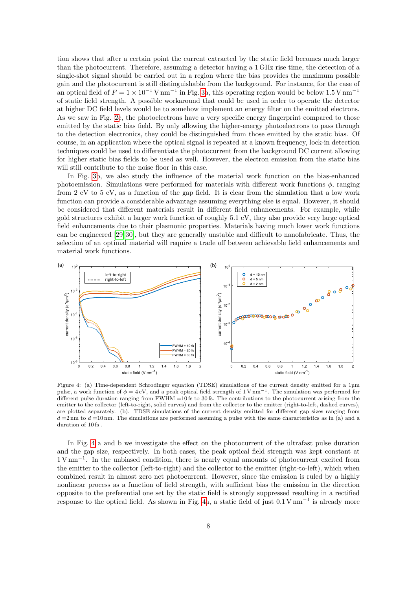tion shows that after a certain point the current extracted by the static field becomes much larger than the photocurrent. Therefore, assuming a detector having a 1 GHz rise time, the detection of a single-shot signal should be carried out in a region where the bias provides the maximum possible gain and the photocurrent is still distinguishable from the background. For instance, for the case of an optical field of  $F = 1 \times 10^{-1}$  V nm<sup>-1</sup> in Fig. [3a](#page-6-0), this operating region would be below 1.5 V nm<sup>-1</sup> of static field strength. A possible workaround that could be used in order to operate the detector at higher DC field levels would be to somehow implement an energy filter on the emitted electrons. As we saw in Fig. [2c](#page-5-0), the photoelectrons have a very specific energy fingerprint compared to those emitted by the static bias field. By only allowing the higher-energy photoelectrons to pass through to the detection electronics, they could be distinguished from those emitted by the static bias. Of course, in an application where the optical signal is repeated at a known frequency, lock-in detection techniques could be used to differentiate the photocurrent from the background DC current allowing for higher static bias fields to be used as well. However, the electron emission from the static bias will still contribute to the noise floor in this case.

In Fig. [3b](#page-6-0), we also study the influence of the material work function on the bias-enhanced photoemission. Simulations were performed for materials with different work functions  $\phi$ , ranging from 2 eV to 5 eV, as a function of the gap field. It is clear from the simulation that a low work function can provide a considerable advantage assuming everything else is equal. However, it should be considered that different materials result in different field enhancements. For example, while gold structures exhibit a larger work function of roughly 5.1 eV, they also provide very large optical field enhancements due to their plasmonic properties. Materials having much lower work functions can be engineered [\[29,](#page-10-5) [30\]](#page-10-6), but they are generally unstable and difficult to nanofabricate. Thus, the selection of an optimal material will require a trade off between achievable field enhancements and material work functions.

<span id="page-7-0"></span>

Figure 4: (a) Time-dependent Schrodinger equation (TDSE) simulations of the current density emitted for a 1µm pulse, a work function of  $\phi = 4$  eV, and a peak optical field strength of 1 V nm<sup>-1</sup>. The simulation was performed for different pulse duration ranging from  $FWHM = 10$  fs to 30 fs. The contributions to the photocurrent arising from the emitter to the collector (left-to-right, solid curves) and from the collector to the emitter (right-to-left, dashed curves), are plotted separately. (b). TDSE simulations of the current density emitted for different gap sizes ranging from  $d = 2 \text{ nm}$  to  $d = 10 \text{ nm}$ . The simulations are performed assuming a pulse with the same characteristics as in (a) and a duration of 10 fs .

In Fig. [4](#page-7-0) a and b we investigate the effect on the photocurrent of the ultrafast pulse duration and the gap size, respectively. In both cases, the peak optical field strength was kept constant at 1 V nm<sup>−</sup><sup>1</sup> . In the unbiased condition, there is nearly equal amounts of photocurrent excited from the emitter to the collector (left-to-right) and the collector to the emitter (right-to-left), which when combined result in almost zero net photocurrent. However, since the emission is ruled by a highly nonlinear process as a function of field strength, with sufficient bias the emission in the direction opposite to the preferential one set by the static field is strongly suppressed resulting in a rectified response to the optical field. As shown in Fig. [4a](#page-7-0), a static field of just 0.1 V nm<sup>−</sup><sup>1</sup> is already more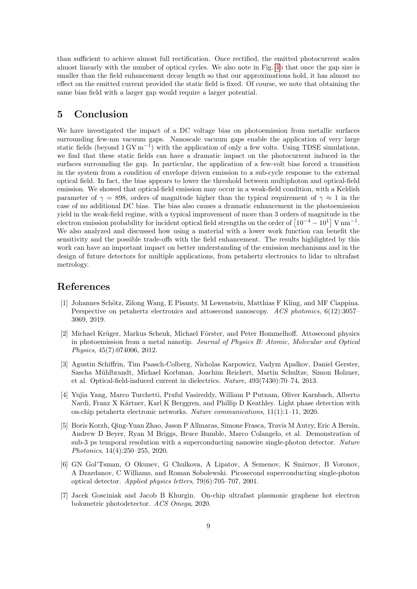than sufficient to achieve almost full rectification. Once rectified, the emitted photocurrent scales almost linearly with the number of optical cycles. We also note in Fig. [4b](#page-7-0) that once the gap size is smaller than the field enhancement decay length so that our approximations hold, it has almost no effect on the emitted current provided the static field is fixed. Of course, we note that obtaining the same bias field with a larger gap would require a larger potential.

# 5 Conclusion

We have investigated the impact of a DC voltage bias on photoemission from metallic surfaces surrounding few-nm vacuum gaps. Nanoscale vacuum gaps enable the application of very large static fields (beyond  $1 \text{ GV m}^{-1}$ ) with the application of only a few volts. Using TDSE simulations, we find that these static fields can have a dramatic impact on the photocurrent induced in the surfaces surrounding the gap. In particular, the application of a few-volt bias forced a transition in the system from a condition of envelope driven emission to a sub-cycle response to the external optical field. In fact, the bias appears to lower the threshold between multiphoton and optical-field emission. We showed that optical-field emission may occur in a weak-field condition, with a Keldish parameter of  $\gamma = 898$ , orders of magnitude higher than the typical requirement of  $\gamma \approx 1$  in the case of no additional DC bias. The bias also causes a dramatic enhancement in the photoemission yield in the weak-field regime, with a typical improvement of more than 3 orders of magnitude in the electron emission probability for incident optical field strengths on the order of  $\left[10^{-4} - 10^{1}\right]$  V nm<sup>-1</sup>. We also analyzed and discussed how using a material with a lower work function can benefit the sensitivity and the possible trade-offs with the field enhancement. The results highlighted by this work can have an important impact on better understanding of the emission mechanisms and in the design of future detectors for multiple applications, from petahertz electronics to lidar to ultrafast metrology.

# References

- <span id="page-8-0"></span>[1] Johannes Schötz, Zilong Wang, E Pisanty, M Lewenstein, Matthias F Kling, and MF Ciappina. Perspective on petahertz electronics and attosecond nanoscopy. ACS photonics, 6(12):3057– 3069, 2019.
- [2] Michael Krüger, Markus Schenk, Michael Förster, and Peter Hommelhoff. Attosecond physics in photoemission from a metal nanotip. Journal of Physics B: Atomic, Molecular and Optical Physics, 45(7):074006, 2012.
- [3] Agustin Schiffrin, Tim Paasch-Colberg, Nicholas Karpowicz, Vadym Apalkov, Daniel Gerster, Sascha M¨uhlbrandt, Michael Korbman, Joachim Reichert, Martin Schultze, Simon Holzner, et al. Optical-field-induced current in dielectrics. Nature, 493(7430):70–74, 2013.
- <span id="page-8-1"></span>[4] Yujia Yang, Marco Turchetti, Praful Vasireddy, William P Putnam, Oliver Karnbach, Alberto Nardi, Franz X Kärtner, Karl K Berggren, and Phillip D Keathley. Light phase detection with on-chip petahertz electronic networks. Nature communications, 11(1):1–11, 2020.
- <span id="page-8-2"></span>[5] Boris Korzh, Qing-Yuan Zhao, Jason P Allmaras, Simone Frasca, Travis M Autry, Eric A Bersin, Andrew D Beyer, Ryan M Briggs, Bruce Bumble, Marco Colangelo, et al. Demonstration of sub-3 ps temporal resolution with a superconducting nanowire single-photon detector. Nature Photonics, 14(4):250–255, 2020.
- <span id="page-8-3"></span>[6] GN Gol'Tsman, O Okunev, G Chulkova, A Lipatov, A Semenov, K Smirnov, B Voronov, A Dzardanov, C Williams, and Roman Sobolewski. Picosecond superconducting single-photon optical detector. Applied physics letters, 79(6):705–707, 2001.
- <span id="page-8-4"></span>[7] Jacek Gosciniak and Jacob B Khurgin. On-chip ultrafast plasmonic graphene hot electron bolometric photodetector. ACS Omega, 2020.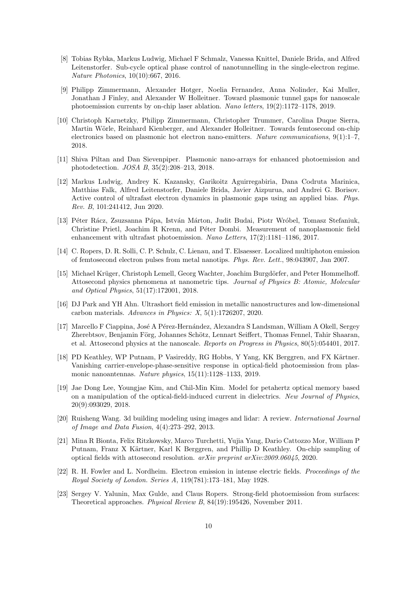- <span id="page-9-0"></span>[8] Tobias Rybka, Markus Ludwig, Michael F Schmalz, Vanessa Knittel, Daniele Brida, and Alfred Leitenstorfer. Sub-cycle optical phase control of nanotunnelling in the single-electron regime. Nature Photonics, 10(10):667, 2016.
- <span id="page-9-14"></span>[9] Philipp Zimmermann, Alexander Hotger, Noelia Fernandez, Anna Nolinder, Kai Muller, Jonathan J Finley, and Alexander W Holleitner. Toward plasmonic tunnel gaps for nanoscale photoemission currents by on-chip laser ablation. Nano letters, 19(2):1172–1178, 2019.
- <span id="page-9-1"></span>[10] Christoph Karnetzky, Philipp Zimmermann, Christopher Trummer, Carolina Duque Sierra, Martin Wörle, Reinhard Kienberger, and Alexander Holleitner. Towards femtosecond on-chip electronics based on plasmonic hot electron nano-emitters. Nature communications, 9(1):1–7, 2018.
- <span id="page-9-2"></span>[11] Shiva Piltan and Dan Sievenpiper. Plasmonic nano-arrays for enhanced photoemission and photodetection. JOSA B, 35(2):208–213, 2018.
- <span id="page-9-3"></span>[12] Markus Ludwig, Andrey K. Kazansky, Garikoitz Aguirregabiria, Dana Codruta Marinica, Matthias Falk, Alfred Leitenstorfer, Daniele Brida, Javier Aizpurua, and Andrei G. Borisov. Active control of ultrafast electron dynamics in plasmonic gaps using an applied bias. Phys. Rev. B, 101:241412, Jun 2020.
- <span id="page-9-4"></span>[13] Péter Rácz, Zsuzsanna Pápa, István Márton, Judit Budai, Piotr Wróbel, Tomasz Stefaniuk, Christine Prietl, Joachim R Krenn, and P´eter Dombi. Measurement of nanoplasmonic field enhancement with ultrafast photoemission. Nano Letters, 17(2):1181–1186, 2017.
- <span id="page-9-5"></span>[14] C. Ropers, D. R. Solli, C. P. Schulz, C. Lienau, and T. Elsaesser. Localized multiphoton emission of femtosecond electron pulses from metal nanotips. Phys. Rev. Lett., 98:043907, Jan 2007.
- <span id="page-9-6"></span>[15] Michael Krüger, Christoph Lemell, Georg Wachter, Joachim Burgdörfer, and Peter Hommelhoff. Attosecond physics phenomena at nanometric tips. Journal of Physics B: Atomic, Molecular and Optical Physics, 51(17):172001, 2018.
- [16] DJ Park and YH Ahn. Ultrashort field emission in metallic nanostructures and low-dimensional carbon materials. Advances in Physics: X, 5(1):1726207, 2020.
- <span id="page-9-7"></span>[17] Marcello F Ciappina, José A Pérez-Hernández, Alexandra S Landsman, William A Okell, Sergey Zherebtsov, Benjamin Förg, Johannes Schötz, Lennart Seiffert, Thomas Fennel, Tahir Shaaran, et al. Attosecond physics at the nanoscale. Reports on Progress in Physics, 80(5):054401, 2017.
- <span id="page-9-8"></span>[18] PD Keathley, WP Putnam, P Vasireddy, RG Hobbs, Y Yang, KK Berggren, and FX Kärtner. Vanishing carrier-envelope-phase-sensitive response in optical-field photoemission from plasmonic nanoantennas. Nature physics, 15(11):1128–1133, 2019.
- <span id="page-9-9"></span>[19] Jae Dong Lee, Youngjae Kim, and Chil-Min Kim. Model for petahertz optical memory based on a manipulation of the optical-field-induced current in dielectrics. New Journal of Physics, 20(9):093029, 2018.
- <span id="page-9-10"></span>[20] Ruisheng Wang. 3d building modeling using images and lidar: A review. International Journal of Image and Data Fusion, 4(4):273–292, 2013.
- <span id="page-9-11"></span>[21] Mina R Bionta, Felix Ritzkowsky, Marco Turchetti, Yujia Yang, Dario Cattozzo Mor, William P Putnam, Franz X Kärtner, Karl K Berggren, and Phillip D Keathley. On-chip sampling of optical fields with attosecond resolution.  $arXiv$  preprint  $arXiv:2009.06045$ , 2020.
- <span id="page-9-12"></span>[22] R. H. Fowler and L. Nordheim. Electron emission in intense electric fields. Proceedings of the Royal Society of London. Series A, 119(781):173–181, May 1928.
- <span id="page-9-13"></span>[23] Sergey V. Yalunin, Max Gulde, and Claus Ropers. Strong-field photoemission from surfaces: Theoretical approaches. Physical Review B, 84(19):195426, November 2011.